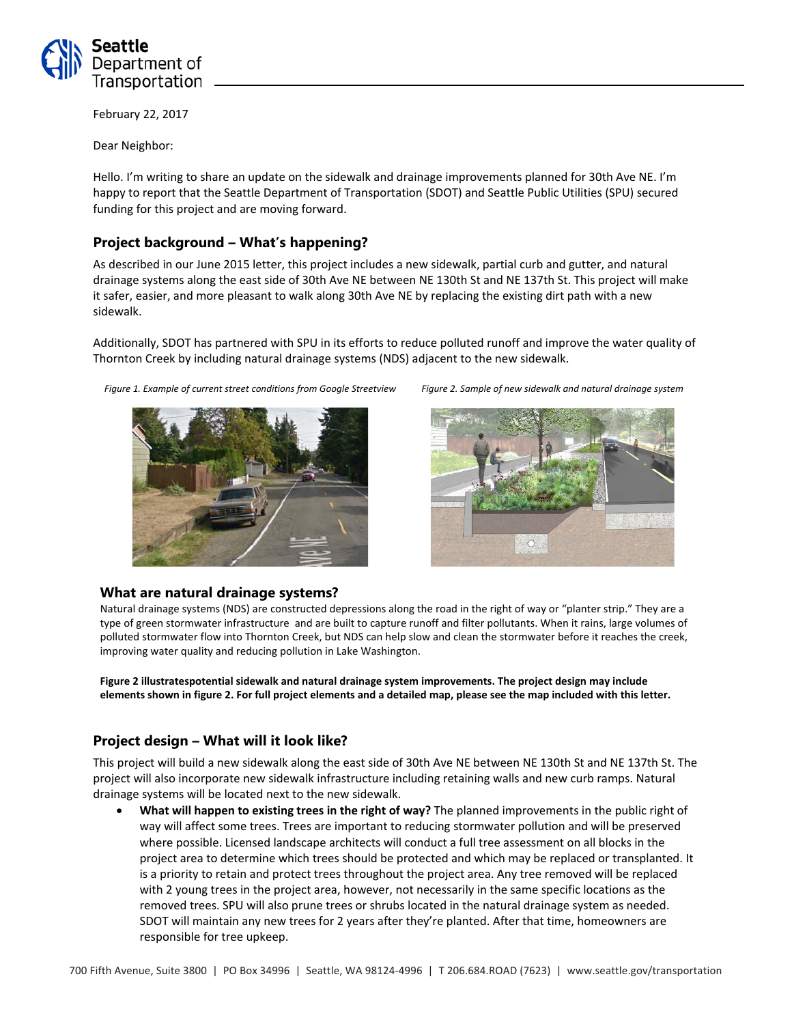

February 22, 2017

Dear Neighbor:

Hello. I'm writing to share an update on the sidewalk and drainage improvements planned for 30th Ave NE. I'm happy to report that the Seattle Department of Transportation (SDOT) and Seattle Public Utilities (SPU) secured funding for this project and are moving forward.

# **Project background – What's happening?**

As described in our June 2015 letter, this project includes a new sidewalk, partial curb and gutter, and natural drainage systems along the east side of 30th Ave NE between NE 130th St and NE 137th St. This project will make it safer, easier, and more pleasant to walk along 30th Ave NE by replacing the existing dirt path with a new sidewalk.

Additionally, SDOT has partnered with SPU in its efforts to reduce polluted runoff and improve the water quality of Thornton Creek by including natural drainage systems (NDS) adjacent to the new sidewalk.

*Figure 1. Example of current street conditions from Google Streetview Figure 2. Sample of new sidewalk and natural drainage system*







### **What are natural drainage systems?**

Natural drainage systems (NDS) are constructed depressions along the road in the right of way or "planter strip." They are a type of green stormwater infrastructure and are built to capture runoff and filter pollutants. When it rains, large volumes of polluted stormwater flow into Thornton Creek, but NDS can help slow and clean the stormwater before it reaches the creek, improving water quality and reducing pollution in Lake Washington.

**Figure 2 illustratespotential sidewalk and natural drainage system improvements. The project design may include elements shown in figure 2. For full project elements and a detailed map, please see the map included with this letter.**

### **Project design – What will it look like?**

This project will build a new sidewalk along the east side of 30th Ave NE between NE 130th St and NE 137th St. The project will also incorporate new sidewalk infrastructure including retaining walls and new curb ramps. Natural drainage systems will be located next to the new sidewalk.

• **What will happen to existing trees in the right of way?** The planned improvements in the public right of way will affect some trees. Trees are important to reducing stormwater pollution and will be preserved where possible. Licensed landscape architects will conduct a full tree assessment on all blocks in the project area to determine which trees should be protected and which may be replaced or transplanted. It is a priority to retain and protect trees throughout the project area. Any tree removed will be replaced with 2 young trees in the project area, however, not necessarily in the same specific locations as the removed trees. SPU will also prune trees or shrubs located in the natural drainage system as needed. SDOT will maintain any new trees for 2 years after they're planted. After that time, homeowners are responsible for tree upkeep.